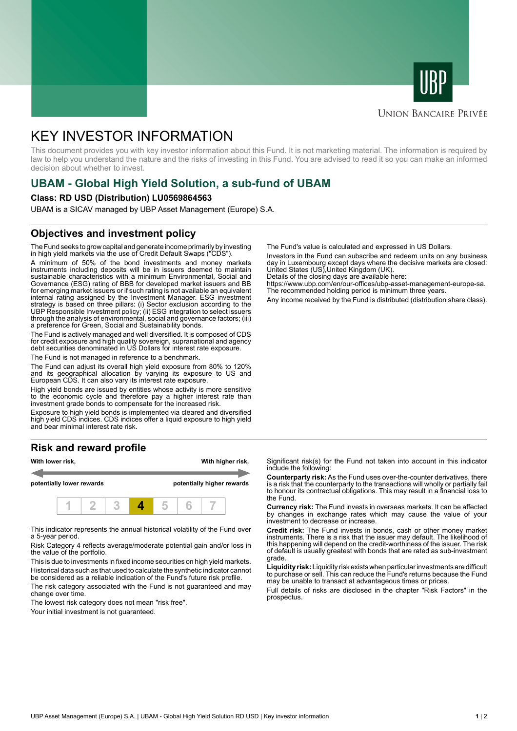



## **UNION BANCAIRE PRIVÉE**

# KEY INVESTOR INFORMATION

This document provides you with key investor information about this Fund. It is not marketing material. The information is required by law to help you understand the nature and the risks of investing in this Fund. You are advised to read it so you can make an informed decision about whether to invest.

# **UBAM - Global High Yield Solution, a sub-fund of UBAM**

#### **Class: RD USD (Distribution) LU0569864563**

UBAM is a SICAV managed by UBP Asset Management (Europe) S.A.

### **Objectives and investment policy**

The Fund seeks to grow capital and generate income primarily by investing in high yield markets via the use of Credit Default Swaps ("CDS").

A minimum of 50% of the bond investments and money markets instruments including deposits will be in issuers deemed to maintain sustainable characteristics with a minimum Environmental, Social and Governance (ESG) rating of BBB for developed market issuers and BB for emerging market issuers or if such rating is not available an equivalent internal rating assigned by the Investment Manager. ESG investment strategy is based on three pillars: (i) Sector exclusion according to the UBP Responsible Investment policy; (ii) ESG integration to select issuers through the analysis of environmental, social and governance factors; (iii) a preference for Green, Social and Sustainability bonds.

The Fund is actively managed and well diversified. It is composed of CDS for credit exposure and high quality sovereign, supranational and agency debt securities denominated in US Dollars for interest rate exposure.

The Fund is not managed in reference to a benchmark.

The Fund can adjust its overall high yield exposure from 80% to 120% and its geographical allocation by varying its exposure to US and European CDS. It can also vary its interest rate exposure.

High yield bonds are issued by entities whose activity is more sensitive to the economic cycle and therefore pay a higher interest rate than investment grade bonds to compensate for the increased risk.

Exposure to high yield bonds is implemented via cleared and diversified high yield CDS indices. CDS indices offer a liquid exposure to high yield and bear minimal interest rate risk.

# **Risk and reward profile**



This indicator represents the annual historical volatility of the Fund over a 5-year period.

Risk Category 4 reflects average/moderate potential gain and/or loss in the value of the portfolio.

This is due to investments in fixed income securities on high yield markets. Historical data such as that used to calculate the synthetic indicator cannot be considered as a reliable indication of the Fund's future risk profile. The risk category associated with the Fund is not guaranteed and may

change over time.

The lowest risk category does not mean "risk free". Your initial investment is not guaranteed.

The Fund's value is calculated and expressed in US Dollars.

Investors in the Fund can subscribe and redeem units on any business day in Luxembourg except days where the decisive markets are closed: United States (US),United Kingdom (UK).

Details of the closing days are available here:

https://www.ubp.com/en/our-offices/ubp-asset-management-europe-sa. The recommended holding period is minimum three years.

Any income received by the Fund is distributed (distribution share class).

Significant risk(s) for the Fund not taken into account in this indicator include the following:

**Counterparty risk:** As the Fund uses over-the-counter derivatives, there is a risk that the counterparty to the transactions will wholly or partially fail to honour its contractual obligations. This may result in a financial loss to the Fund.

**Currency risk:** The Fund invests in overseas markets. It can be affected by changes in exchange rates which may cause the value of your investment to decrease or increase.

**Credit risk:** The Fund invests in bonds, cash or other money market instruments. There is a risk that the issuer may default. The likelihood of this happening will depend on the credit-worthiness of the issuer. The risk of default is usually greatest with bonds that are rated as sub-investment grade.

**Liquidity risk:** Liquidity risk exists when particular investments are difficult to purchase or sell. This can reduce the Fund's returns because the Fund may be unable to transact at advantageous times or prices.

Full details of risks are disclosed in the chapter "Risk Factors" in the prospectus.